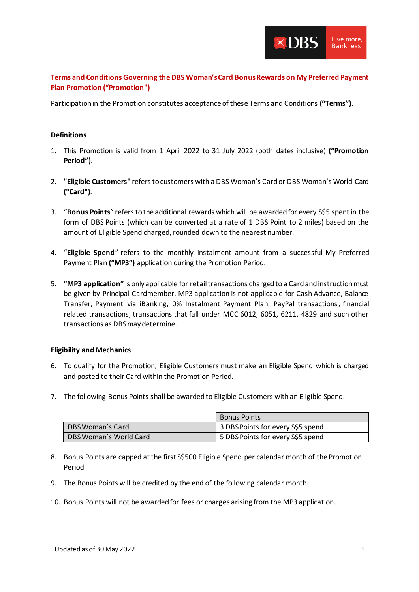

**Terms and Conditions Governing the DBS Woman's Card Bonus Rewards on My Preferred Payment Plan Promotion ("Promotion")**

Participation in the Promotion constitutes acceptance of these Terms and Conditions **("Terms")**.

## **Definitions**

- 1. This Promotion is valid from 1 April 2022 to 31 July 2022 (both dates inclusive) **("Promotion Period")**.
- 2. **"Eligible Customers"** refers tocustomers with a DBS Woman's Card or DBS Woman's World Card **("Card")**.
- 3. "**Bonus Points**" refers to the additional rewards which will be awarded for every S\$5 spent in the form of DBS Points (which can be converted at a rate of 1 DBS Point to 2 miles) based on the amount of Eligible Spend charged, rounded down to the nearest number.
- 4. "**Eligible Spend**" refers to the monthly instalment amount from a successful My Preferred Payment Plan **("MP3")** application during the Promotion Period.
- 5. **"MP3 application"** is only applicable for retail transactions charged to a Cardand instruction must be given by Principal Cardmember. MP3 application is not applicable for Cash Advance, Balance Transfer, Payment via iBanking, 0% Instalment Payment Plan, PayPal transactions, financial related transactions, transactions that fall under MCC 6012, 6051, 6211, 4829 and such other transactions as DBS may determine.

## **Eligibility and Mechanics**

- 6. To qualify for the Promotion, Eligible Customers must make an Eligible Spend which is charged and posted to their Card within the Promotion Period.
- 7. The following Bonus Points shall be awarded to Eligible Customers with an Eligible Spend:

|                        | <b>Bonus Points</b>               |
|------------------------|-----------------------------------|
| DBS Woman's Card       | 3 DBS Points for every S\$5 spend |
| DBS Woman's World Card | 5 DBS Points for every S\$5 spend |

- 8. Bonus Points are capped at the first S\$500 Eligible Spend per calendar month of the Promotion Period.
- 9. The Bonus Points will be credited by the end of the following calendar month.
- 10. Bonus Points will not be awarded for fees or charges arising from the MP3 application.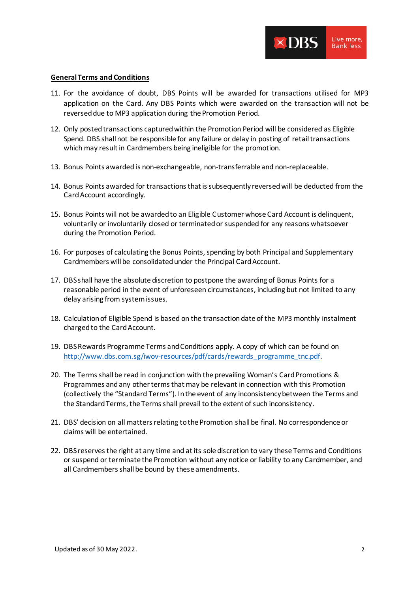

#### **General Terms and Conditions**

- 11. For the avoidance of doubt, DBS Points will be awarded for transactions utilised for MP3 application on the Card. Any DBS Points which were awarded on the transaction will not be reversed due to MP3 application during the Promotion Period.
- 12. Only posted transactions captured within the Promotion Period will be considered as Eligible Spend. DBS shall not be responsible for any failure or delay in posting of retail transactions which may result in Cardmembers being ineligible for the promotion.
- 13. Bonus Points awarded is non-exchangeable, non-transferrable and non-replaceable.
- 14. Bonus Points awarded for transactions that is subsequently reversed will be deducted from the Card Account accordingly.
- 15. Bonus Points will not be awarded to an Eligible Customer whose Card Account is delinquent, voluntarily or involuntarily closed or terminated or suspended for any reasons whatsoever during the Promotion Period.
- 16. For purposes of calculating the Bonus Points, spending by both Principal and Supplementary Cardmembers will be consolidated under the Principal Card Account.
- 17. DBS shall have the absolute discretion to postpone the awarding of Bonus Points for a reasonable period in the event of unforeseen circumstances, including but not limited to any delay arising from system issues.
- 18. Calculation of Eligible Spend is based on the transaction date of the MP3 monthly instalment charged to the Card Account.
- 19. DBS Rewards Programme Terms and Conditions apply. A copy of which can be found on [http://www.dbs.com.sg/iwov-resources/pdf/cards/rewards\\_programme\\_tnc.pdf](http://www.dbs.com.sg/iwov-resources/pdf/cards/rewards_programme_tnc.pdf).
- 20. The Terms shall be read in conjunction with the prevailing Woman's Card Promotions & Programmes and any other terms that may be relevant in connection with this Promotion (collectively the "Standard Terms"). In the event of any inconsistency between the Terms and the Standard Terms, the Terms shall prevail to the extent of such inconsistency.
- 21. DBS' decision on all matters relating to the Promotion shall be final. No correspondence or claims will be entertained.
- 22. DBS reserves the right at any time and at its sole discretion to vary these Terms and Conditions or suspend or terminate the Promotion without any notice or liability to any Cardmember, and all Cardmembers shall be bound by these amendments.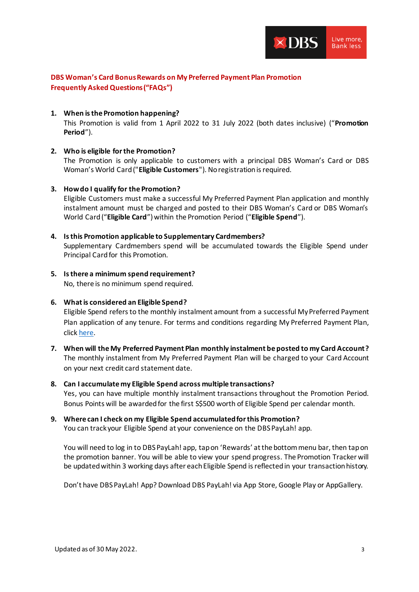

# **DBS Woman's Card Bonus Rewards on My Preferred Payment Plan Promotion Frequently Asked Questions ("FAQs")**

## **1. When is the Promotion happening?**

This Promotion is valid from 1 April 2022 to 31 July 2022 (both dates inclusive) ("**Promotion Period**").

## **2. Who is eligible for the Promotion?**

The Promotion is only applicable to customers with a principal DBS Woman's Card or DBS Woman's World Card ("**Eligible Customers**"). No registration is required.

## **3. How do I qualify for the Promotion?**

Eligible Customers must make a successful My Preferred Payment Plan application and monthly instalment amount must be charged and posted to their DBS Woman's Card or DBS Woman's World Card ("**Eligible Card**") within the Promotion Period ("**Eligible Spend**").

## **4. Is this Promotion applicable to Supplementary Cardmembers?**

Supplementary Cardmembers spend will be accumulated towards the Eligible Spend under Principal Card for this Promotion.

# **5. Is there a minimum spend requirement?**

No, there is no minimum spend required.

## **6. What is considered an Eligible Spend?**

Eligible Spend refers to the monthly instalment amount from a successful My Preferred Payment Plan application of any tenure. For terms and conditions regarding My Preferred Payment Plan, clic[k here.](https://www.dbs.com.sg/iwov-resources/media/pdf/cards/promotions/mppp-fee-tnc.pdf)

# **7. When will the My Preferred Payment Plan monthly instalment be posted to my Card Account?** The monthly instalment from My Preferred Payment Plan will be charged to your Card Account on your next credit card statement date.

## **8. Can I accumulate my Eligible Spend across multiple transactions?**

Yes, you can have multiple monthly instalment transactions throughout the Promotion Period. Bonus Points will be awarded for the first S\$500 worth of Eligible Spend per calendar month.

# **9. Where can I check on my Eligible Spend accumulated for this Promotion?**

You can track your Eligible Spend at your convenience on the DBS PayLah! app.

You will need to log in to DBS PayLah! app, tap on 'Rewards' at the bottom menu bar, then tap on the promotion banner. You will be able to view your spend progress. The Promotion Tracker will be updated within 3 working days after each Eligible Spend is reflected in your transaction history.

Don't have DBS PayLah! App? Download DBS PayLah! via App Store, Google Play or AppGallery.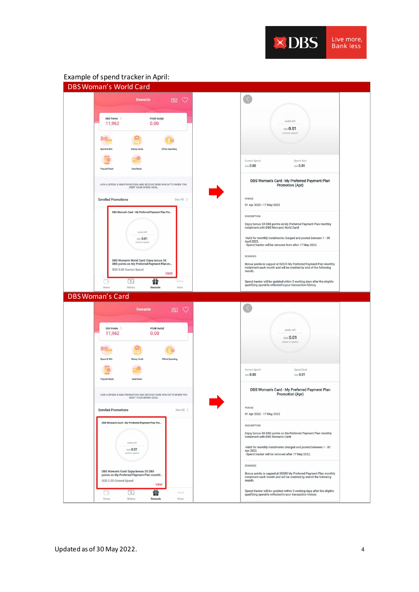

## Example of spend tracker in April: